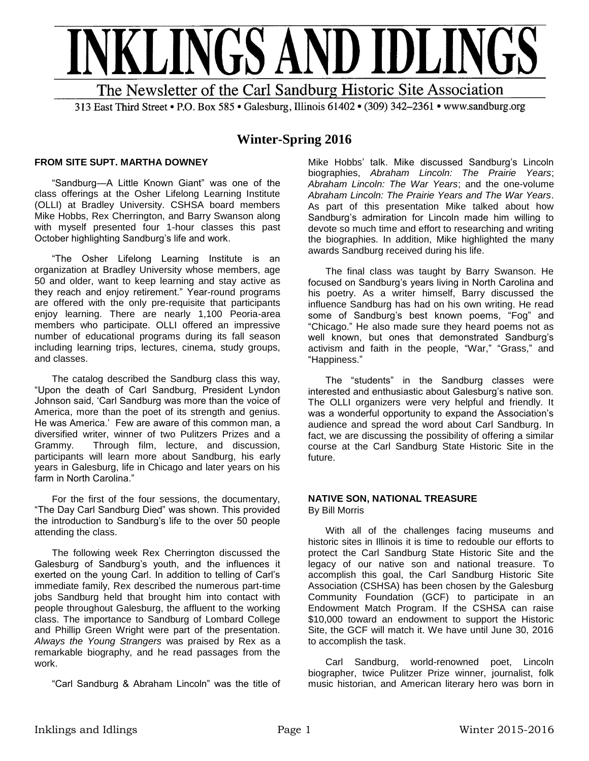

# **Winter-Spring 2016**

### **FROM SITE SUPT. MARTHA DOWNEY**

"Sandburg—A Little Known Giant" was one of the class offerings at the Osher Lifelong Learning Institute (OLLI) at Bradley University. CSHSA board members Mike Hobbs, Rex Cherrington, and Barry Swanson along with myself presented four 1-hour classes this past October highlighting Sandburg's life and work.

"The Osher Lifelong Learning Institute is an organization at Bradley University whose members, age 50 and older, want to keep learning and stay active as they reach and enjoy retirement." Year-round programs are offered with the only pre-requisite that participants enjoy learning. There are nearly 1,100 Peoria-area members who participate. OLLI offered an impressive number of educational programs during its fall season including learning trips, lectures, cinema, study groups, and classes.

The catalog described the Sandburg class this way, "Upon the death of Carl Sandburg, President Lyndon Johnson said, 'Carl Sandburg was more than the voice of America, more than the poet of its strength and genius. He was America.' Few are aware of this common man, a diversified writer, winner of two Pulitzers Prizes and a Grammy. Through film, lecture, and discussion, participants will learn more about Sandburg, his early years in Galesburg, life in Chicago and later years on his farm in North Carolina."

For the first of the four sessions, the documentary, "The Day Carl Sandburg Died" was shown. This provided the introduction to Sandburg's life to the over 50 people attending the class.

The following week Rex Cherrington discussed the Galesburg of Sandburg's youth, and the influences it exerted on the young Carl. In addition to telling of Carl's immediate family, Rex described the numerous part-time jobs Sandburg held that brought him into contact with people throughout Galesburg, the affluent to the working class. The importance to Sandburg of Lombard College and Phillip Green Wright were part of the presentation. *Always the Young Strangers* was praised by Rex as a remarkable biography, and he read passages from the work.

"Carl Sandburg & Abraham Lincoln" was the title of

Mike Hobbs' talk. Mike discussed Sandburg's Lincoln biographies, *Abraham Lincoln: The Prairie Years*; *Abraham Lincoln: The War Years*; and the one-volume *Abraham Lincoln: The Prairie Years and The War Years*. As part of this presentation Mike talked about how Sandburg's admiration for Lincoln made him willing to devote so much time and effort to researching and writing the biographies. In addition, Mike highlighted the many awards Sandburg received during his life.

The final class was taught by Barry Swanson. He focused on Sandburg's years living in North Carolina and his poetry. As a writer himself, Barry discussed the influence Sandburg has had on his own writing. He read some of Sandburg's best known poems, "Fog" and "Chicago." He also made sure they heard poems not as well known, but ones that demonstrated Sandburg's activism and faith in the people, "War," "Grass," and "Happiness."

The "students" in the Sandburg classes were interested and enthusiastic about Galesburg's native son. The OLLI organizers were very helpful and friendly. It was a wonderful opportunity to expand the Association's audience and spread the word about Carl Sandburg. In fact, we are discussing the possibility of offering a similar course at the Carl Sandburg State Historic Site in the future.

### **NATIVE SON, NATIONAL TREASURE**  By Bill Morris

With all of the challenges facing museums and historic sites in Illinois it is time to redouble our efforts to protect the Carl Sandburg State Historic Site and the legacy of our native son and national treasure. To accomplish this goal, the Carl Sandburg Historic Site Association (CSHSA) has been chosen by the Galesburg Community Foundation (GCF) to participate in an Endowment Match Program. If the CSHSA can raise \$10,000 toward an endowment to support the Historic Site, the GCF will match it. We have until June 30, 2016 to accomplish the task.

Carl Sandburg, world-renowned poet, Lincoln biographer, twice Pulitzer Prize winner, journalist, folk music historian, and American literary hero was born in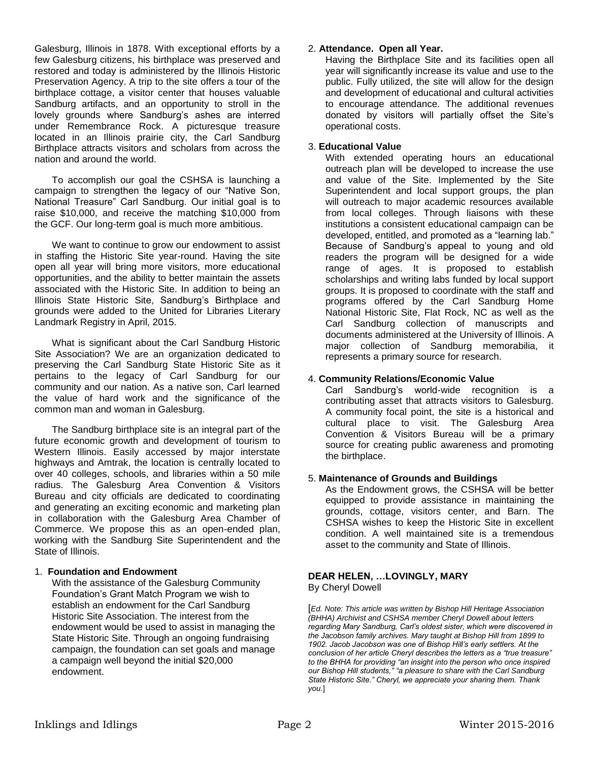Galesburg, Illinois in 1878. With exceptional efforts by a few Galesburg citizens, his birthplace was preserved and restored and today is administered by the Illinois Historic Preservation Agency. A trip to the site offers a tour of the birthplace cottage, a visitor center that houses valuable Sandburg artifacts, and an opportunity to stroll in the lovely grounds where Sandburg's ashes are interred under Remembrance Rock. A picturesque treasure located in an Illinois prairie city, the Carl Sandburg Birthplace attracts visitors and scholars from across the nation and around the world.

To accomplish our goal the CSHSA is launching a campaign to strengthen the legacy of our "Native Son, National Treasure" Carl Sandburg. Our initial goal is to raise \$10,000, and receive the matching \$10,000 from the GCF. Our long-term goal is much more ambitious.

We want to continue to grow our endowment to assist in staffing the Historic Site year-round. Having the site open all year will bring more visitors, more educational opportunities, and the ability to better maintain the assets associated with the Historic Site. In addition to being an Illinois State Historic Site, Sandburg's Birthplace and grounds were added to the United for Libraries Literary Landmark Registry in April, 2015.

What is significant about the Carl Sandburg Historic Site Association? We are an organization dedicated to preserving the Carl Sandburg State Historic Site as it pertains to the legacy of Carl Sandburg for our community and our nation. As a native son, Carl learned the value of hard work and the significance of the common man and woman in Galesburg.

The Sandburg birthplace site is an integral part of the future economic growth and development of tourism to Western Illinois. Easily accessed by major interstate highways and Amtrak, the location is centrally located to over 40 colleges, schools, and libraries within a 50 mile radius. The Galesburg Area Convention & Visitors Bureau and city officials are dedicated to coordinating and generating an exciting economic and marketing plan in collaboration with the Galesburg Area Chamber of Commerce. We propose this as an open-ended plan, working with the Sandburg Site Superintendent and the State of Illinois.

# 1. **Foundation and Endowment**

With the assistance of the Galesburg Community Foundation's Grant Match Program we wish to establish an endowment for the Carl Sandburg Historic Site Association. The interest from the endowment would be used to assist in managing the State Historic Site. Through an ongoing fundraising campaign, the foundation can set goals and manage a campaign well beyond the initial \$20,000 endowment.

# 2. **Attendance. Open all Year.**

Having the Birthplace Site and its facilities open all year will significantly increase its value and use to the public. Fully utilized, the site will allow for the design and development of educational and cultural activities to encourage attendance. The additional revenues donated by visitors will partially offset the Site's operational costs.

### 3. **Educational Value**

With extended operating hours an educational outreach plan will be developed to increase the use and value of the Site. Implemented by the Site Superintendent and local support groups, the plan will outreach to major academic resources available from local colleges. Through liaisons with these institutions a consistent educational campaign can be developed, entitled, and promoted as a "learning lab." Because of Sandburg's appeal to young and old readers the program will be designed for a wide range of ages. It is proposed to establish scholarships and writing labs funded by local support groups. It is proposed to coordinate with the staff and programs offered by the Carl Sandburg Home National Historic Site, Flat Rock, NC as well as the Carl Sandburg collection of manuscripts and documents administered at the University of Illinois. A major collection of Sandburg memorabilia, it represents a primary source for research.

# 4. **Community Relations/Economic Value**

Carl Sandburg's world-wide recognition is a contributing asset that attracts visitors to Galesburg. A community focal point, the site is a historical and cultural place to visit. The Galesburg Area Convention & Visitors Bureau will be a primary source for creating public awareness and promoting the birthplace.

# 5. **Maintenance of Grounds and Buildings**

As the Endowment grows, the CSHSA will be better equipped to provide assistance in maintaining the grounds, cottage, visitors center, and Barn. The CSHSA wishes to keep the Historic Site in excellent condition. A well maintained site is a tremendous asset to the community and State of Illinois.

# **DEAR HELEN, …LOVINGLY, MARY**

By Cheryl Dowell

[*Ed. Note: This article was written by Bishop Hill Heritage Association (BHHA) Archivist and CSHSA member Cheryl Dowell about letters regarding Mary Sandburg, Carl's oldest sister, which were discovered in the Jacobson family archives. Mary taught at Bishop Hill from 1899 to 1902. Jacob Jacobson was one of Bishop Hill's early settlers. At the conclusion of her article Cheryl describes the letters as a "true treasure" to the BHHA for providing "an insight into the person who once inspired our Bishop Hill students," "a pleasure to share with the Carl Sandburg State Historic Site." Cheryl, we appreciate your sharing them. Thank you.*]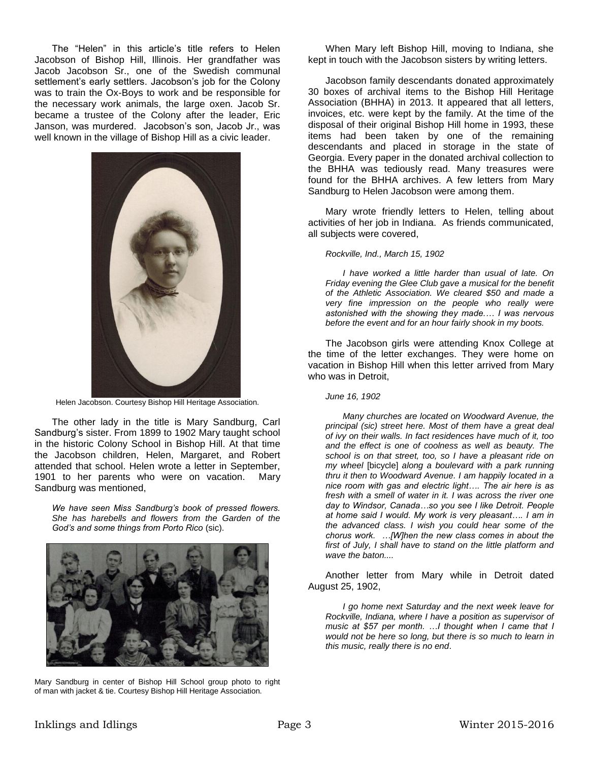The "Helen" in this article's title refers to Helen Jacobson of Bishop Hill, Illinois. Her grandfather was Jacob Jacobson Sr., one of the Swedish communal settlement's early settlers. Jacobson's job for the Colony was to train the Ox-Boys to work and be responsible for the necessary work animals, the large oxen. Jacob Sr. became a trustee of the Colony after the leader, Eric Janson, was murdered. Jacobson's son, Jacob Jr., was well known in the village of Bishop Hill as a civic leader.



Helen Jacobson. Courtesy Bishop Hill Heritage Association.

The other lady in the title is Mary Sandburg, Carl Sandburg's sister. From 1899 to 1902 Mary taught school in the historic Colony School in Bishop Hill. At that time the Jacobson children, Helen, Margaret, and Robert attended that school. Helen wrote a letter in September, 1901 to her parents who were on vacation. Mary Sandburg was mentioned,

*We have seen Miss Sandburg's book of pressed flowers. She has harebells and flowers from the Garden of the God's and some things from Porto Rico* (sic).



Mary Sandburg in center of Bishop Hill School group photo to right of man with jacket & tie. Courtesy Bishop Hill Heritage Association.

When Mary left Bishop Hill, moving to Indiana, she kept in touch with the Jacobson sisters by writing letters.

Jacobson family descendants donated approximately 30 boxes of archival items to the Bishop Hill Heritage Association (BHHA) in 2013. It appeared that all letters, invoices, etc. were kept by the family. At the time of the disposal of their original Bishop Hill home in 1993, these items had been taken by one of the remaining descendants and placed in storage in the state of Georgia. Every paper in the donated archival collection to the BHHA was tediously read. Many treasures were found for the BHHA archives. A few letters from Mary Sandburg to Helen Jacobson were among them.

Mary wrote friendly letters to Helen, telling about activities of her job in Indiana. As friends communicated, all subjects were covered,

*Rockville, Ind., March 15, 1902*

*I have worked a little harder than usual of late. On Friday evening the Glee Club gave a musical for the benefit of the Athletic Association. We cleared \$50 and made a very fine impression on the people who really were astonished with the showing they made.… I was nervous before the event and for an hour fairly shook in my boots.*

The Jacobson girls were attending Knox College at the time of the letter exchanges. They were home on vacation in Bishop Hill when this letter arrived from Mary who was in Detroit,

*June 16, 1902*

*Many churches are located on Woodward Avenue, the principal (sic) street here. Most of them have a great deal of ivy on their walls. In fact residences have much of it, too and the effect is one of coolness as well as beauty. The school is on that street, too, so I have a pleasant ride on my wheel* [bicycle] *along a boulevard with a park running thru it then to Woodward Avenue. I am happily located in a nice room with gas and electric light…. The air here is as fresh with a smell of water in it. I was across the river one day to Windsor, Canada…so you see I like Detroit. People at home said I would. My work is very pleasant…. I am in the advanced class. I wish you could hear some of the chorus work. …[W]hen the new class comes in about the first of July, I shall have to stand on the little platform and wave the baton....*

Another letter from Mary while in Detroit dated August 25, 1902,

*I go home next Saturday and the next week leave for Rockville, Indiana, where I have a position as supervisor of music at \$57 per month. …I thought when I came that I would not be here so long, but there is so much to learn in this music, really there is no end*.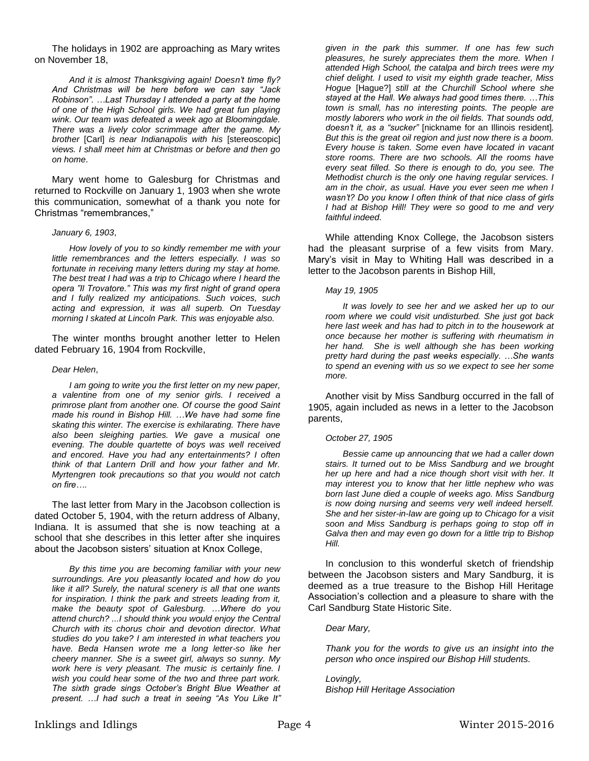The holidays in 1902 are approaching as Mary writes on November 18,

*And it is almost Thanksgiving again! Doesn't time fly? And Christmas will be here before we can say "Jack Robinson". …Last Thursday I attended a party at the home of one of the High School girls. We had great fun playing wink. Our team was defeated a week ago at Bloomingdale. There was a lively color scrimmage after the game. My brother* [Carl] *is near Indianapolis with his* [stereoscopic] *views. I shall meet him at Christmas or before and then go on home*.

Mary went home to Galesburg for Christmas and returned to Rockville on January 1, 1903 when she wrote this communication, somewhat of a thank you note for Christmas "remembrances,"

#### *January 6, 1903*,

*How lovely of you to so kindly remember me with your little remembrances and the letters especially. I was so fortunate in receiving many letters during my stay at home. The best treat I had was a trip to Chicago where I heard the opera "Il Trovatore." This was my first night of grand opera and I fully realized my anticipations. Such voices, such acting and expression, it was all superb. On Tuesday morning I skated at Lincoln Park. This was enjoyable also.*

The winter months brought another letter to Helen dated February 16, 1904 from Rockville,

#### *Dear Helen*,

*I am going to write you the first letter on my new paper, a valentine from one of my senior girls. I received a primrose plant from another one. Of course the good Saint made his round in Bishop Hill. …We have had some fine skating this winter. The exercise is exhilarating. There have also been sleighing parties. We gave a musical one evening. The double quartette of boys was well received and encored. Have you had any entertainments? I often think of that Lantern Drill and how your father and Mr. Myrtengren took precautions so that you would not catch on fire….*

The last letter from Mary in the Jacobson collection is dated October 5, 1904, with the return address of Albany, Indiana. It is assumed that she is now teaching at a school that she describes in this letter after she inquires about the Jacobson sisters' situation at Knox College,

*By this time you are becoming familiar with your new surroundings. Are you pleasantly located and how do you like it all? Surely, the natural scenery is all that one wants for inspiration. I think the park and streets leading from it, make the beauty spot of Galesburg. …Where do you attend church? ...I should think you would enjoy the Central Church with its chorus choir and devotion director. What studies do you take? I am interested in what teachers you have. Beda Hansen wrote me a long letter-so like her cheery manner. She is a sweet girl, always so sunny. My work here is very pleasant. The music is certainly fine. I wish you could hear some of the two and three part work. The sixth grade sings October's Bright Blue Weather at present. …I had such a treat in seeing "As You Like It"* 

*given in the park this summer. If one has few such pleasures, he surely appreciates them the more. When I attended High School, the catalpa and birch trees were my chief delight. I used to visit my eighth grade teacher, Miss Hogue* [Hague?] *still at the Churchill School where she stayed at the Hall. We always had good times there. …This town is small, has no interesting points. The people are mostly laborers who work in the oil fields. That sounds odd, doesn't it, as a "sucker"* [nickname for an Illinois resident]*. But this is the great oil region and just now there is a boom. Every house is taken. Some even have located in vacant store rooms. There are two schools. All the rooms have every seat filled. So there is enough to do, you see. The Methodist church is the only one having regular services. I am in the choir, as usual. Have you ever seen me when I wasn't? Do you know I often think of that nice class of girls I had at Bishop Hill! They were so good to me and very faithful indeed.*

While attending Knox College, the Jacobson sisters had the pleasant surprise of a few visits from Mary. Mary's visit in May to Whiting Hall was described in a letter to the Jacobson parents in Bishop Hill,

#### *May 19, 1905*

*It was lovely to see her and we asked her up to our room where we could visit undisturbed. She just got back here last week and has had to pitch in to the housework at once because her mother is suffering with rheumatism in her hand. She is well although she has been working pretty hard during the past weeks especially. …She wants to spend an evening with us so we expect to see her some more.*

Another visit by Miss Sandburg occurred in the fall of 1905, again included as news in a letter to the Jacobson parents,

#### *October 27, 1905*

*Bessie came up announcing that we had a caller down stairs. It turned out to be Miss Sandburg and we brought her up here and had a nice though short visit with her. It may interest you to know that her little nephew who was born last June died a couple of weeks ago. Miss Sandburg is now doing nursing and seems very well indeed herself. She and her sister-in-law are going up to Chicago for a visit soon and Miss Sandburg is perhaps going to stop off in Galva then and may even go down for a little trip to Bishop Hill.*

In conclusion to this wonderful sketch of friendship between the Jacobson sisters and Mary Sandburg, it is deemed as a true treasure to the Bishop Hill Heritage Association's collection and a pleasure to share with the Carl Sandburg State Historic Site.

#### *Dear Mary,*

*Thank you for the words to give us an insight into the person who once inspired our Bishop Hill students.*

*Lovingly, Bishop Hill Heritage Association*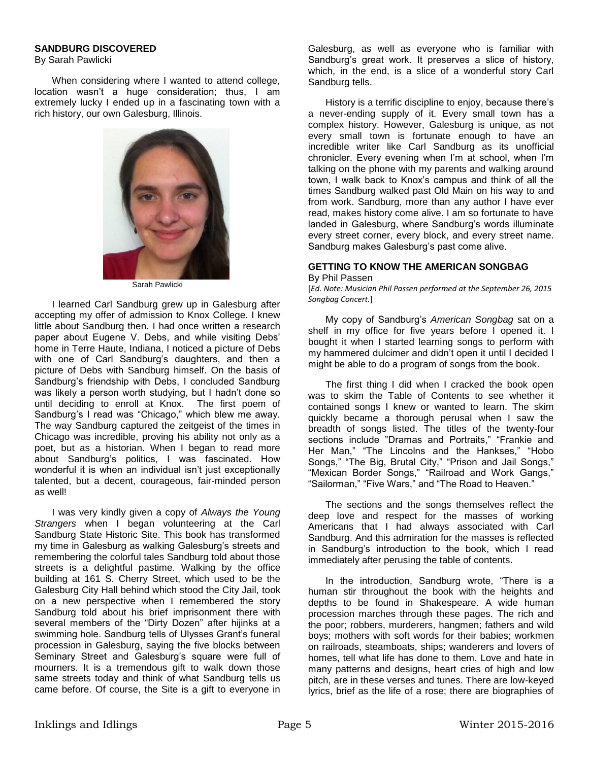### **SANDBURG DISCOVERED**

By Sarah Pawlicki

When considering where I wanted to attend college, location wasn't a huge consideration; thus, I am extremely lucky I ended up in a fascinating town with a rich history, our own Galesburg, Illinois.



Sarah Pawlicki

I learned Carl Sandburg grew up in Galesburg after accepting my offer of admission to Knox College. I knew little about Sandburg then. I had once written a research paper about Eugene V. Debs, and while visiting Debs' home in Terre Haute, Indiana, I noticed a picture of Debs with one of Carl Sandburg's daughters, and then a picture of Debs with Sandburg himself. On the basis of Sandburg's friendship with Debs, I concluded Sandburg was likely a person worth studying, but I hadn't done so until deciding to enroll at Knox. The first poem of Sandburg's I read was "Chicago," which blew me away. The way Sandburg captured the zeitgeist of the times in Chicago was incredible, proving his ability not only as a poet, but as a historian. When I began to read more about Sandburg's politics, I was fascinated. How wonderful it is when an individual isn't just exceptionally talented, but a decent, courageous, fair-minded person as well!

I was very kindly given a copy of *Always the Young Strangers* when I began volunteering at the Carl Sandburg State Historic Site. This book has transformed my time in Galesburg as walking Galesburg's streets and remembering the colorful tales Sandburg told about those streets is a delightful pastime. Walking by the office building at 161 S. Cherry Street, which used to be the Galesburg City Hall behind which stood the City Jail, took on a new perspective when I remembered the story Sandburg told about his brief imprisonment there with several members of the "Dirty Dozen" after hijinks at a swimming hole. Sandburg tells of Ulysses Grant's funeral procession in Galesburg, saying the five blocks between Seminary Street and Galesburg's square were full of mourners. It is a tremendous gift to walk down those same streets today and think of what Sandburg tells us came before. Of course, the Site is a gift to everyone in Galesburg, as well as everyone who is familiar with Sandburg's great work. It preserves a slice of history, which, in the end, is a slice of a wonderful story Carl Sandburg tells.

History is a terrific discipline to enjoy, because there's a never-ending supply of it. Every small town has a complex history. However, Galesburg is unique, as not every small town is fortunate enough to have an incredible writer like Carl Sandburg as its unofficial chronicler. Every evening when I'm at school, when I'm talking on the phone with my parents and walking around town, I walk back to Knox's campus and think of all the times Sandburg walked past Old Main on his way to and from work. Sandburg, more than any author I have ever read, makes history come alive. I am so fortunate to have landed in Galesburg, where Sandburg's words illuminate every street corner, every block, and every street name. Sandburg makes Galesburg's past come alive.

#### **GETTING TO KNOW THE AMERICAN SONGBAG** By Phil Passen

[*Ed. Note: Musician Phil Passen performed at the September 26, 2015 Songbag Concert.*]

My copy of Sandburg's *American Songbag* sat on a shelf in my office for five years before I opened it. I bought it when I started learning songs to perform with my hammered dulcimer and didn't open it until I decided I might be able to do a program of songs from the book.

The first thing I did when I cracked the book open was to skim the Table of Contents to see whether it contained songs I knew or wanted to learn. The skim quickly became a thorough perusal when I saw the breadth of songs listed. The titles of the twenty-four sections include "Dramas and Portraits," "Frankie and Her Man," "The Lincolns and the Hankses," "Hobo Songs," "The Big, Brutal City," "Prison and Jail Songs," "Mexican Border Songs," "Railroad and Work Gangs," "Sailorman," "Five Wars," and "The Road to Heaven."

The sections and the songs themselves reflect the deep love and respect for the masses of working Americans that I had always associated with Carl Sandburg. And this admiration for the masses is reflected in Sandburg's introduction to the book, which I read immediately after perusing the table of contents.

In the introduction, Sandburg wrote, "There is a human stir throughout the book with the heights and depths to be found in Shakespeare. A wide human procession marches through these pages. The rich and the poor; robbers, murderers, hangmen; fathers and wild boys; mothers with soft words for their babies; workmen on railroads, steamboats, ships; wanderers and lovers of homes, tell what life has done to them. Love and hate in many patterns and designs, heart cries of high and low pitch, are in these verses and tunes. There are low-keyed lyrics, brief as the life of a rose; there are biographies of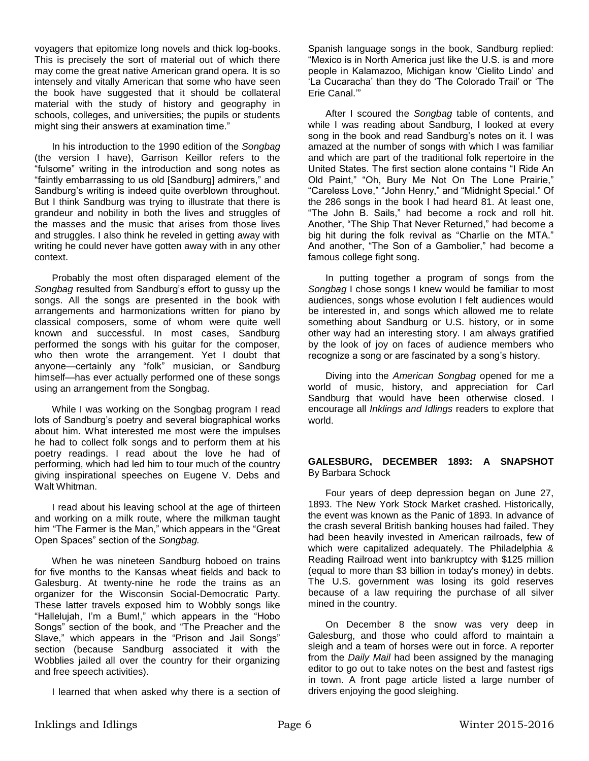voyagers that epitomize long novels and thick log-books. This is precisely the sort of material out of which there may come the great native American grand opera. It is so intensely and vitally American that some who have seen the book have suggested that it should be collateral material with the study of history and geography in schools, colleges, and universities; the pupils or students might sing their answers at examination time."

In his introduction to the 1990 edition of the *Songbag* (the version I have), Garrison Keillor refers to the "fulsome" writing in the introduction and song notes as "faintly embarrassing to us old [Sandburg] admirers," and Sandburg's writing is indeed quite overblown throughout. But I think Sandburg was trying to illustrate that there is grandeur and nobility in both the lives and struggles of the masses and the music that arises from those lives and struggles. I also think he reveled in getting away with writing he could never have gotten away with in any other context.

Probably the most often disparaged element of the *Songbag* resulted from Sandburg's effort to gussy up the songs. All the songs are presented in the book with arrangements and harmonizations written for piano by classical composers, some of whom were quite well known and successful. In most cases, Sandburg performed the songs with his guitar for the composer, who then wrote the arrangement. Yet I doubt that anyone—certainly any "folk" musician, or Sandburg himself—has ever actually performed one of these songs using an arrangement from the Songbag.

While I was working on the Songbag program I read lots of Sandburg's poetry and several biographical works about him. What interested me most were the impulses he had to collect folk songs and to perform them at his poetry readings. I read about the love he had of performing, which had led him to tour much of the country giving inspirational speeches on Eugene V. Debs and Walt Whitman.

I read about his leaving school at the age of thirteen and working on a milk route, where the milkman taught him "The Farmer is the Man," which appears in the "Great Open Spaces" section of the *Songbag.*

When he was nineteen Sandburg hoboed on trains for five months to the Kansas wheat fields and back to Galesburg. At twenty-nine he rode the trains as an organizer for the Wisconsin Social-Democratic Party. These latter travels exposed him to Wobbly songs like "Hallelujah, I'm a Bum!," which appears in the "Hobo Songs" section of the book, and "The Preacher and the Slave," which appears in the "Prison and Jail Songs" section (because Sandburg associated it with the Wobblies jailed all over the country for their organizing and free speech activities).

I learned that when asked why there is a section of

Spanish language songs in the book, Sandburg replied: "Mexico is in North America just like the U.S. is and more people in Kalamazoo, Michigan know 'Cielito Lindo' and 'La Cucaracha' than they do 'The Colorado Trail' or 'The Erie Canal.'"

After I scoured the *Songbag* table of contents, and while I was reading about Sandburg, I looked at every song in the book and read Sandburg's notes on it. I was amazed at the number of songs with which I was familiar and which are part of the traditional folk repertoire in the United States. The first section alone contains "I Ride An Old Paint," "Oh, Bury Me Not On The Lone Prairie," "Careless Love," "John Henry," and "Midnight Special." Of the 286 songs in the book I had heard 81. At least one, "The John B. Sails," had become a rock and roll hit. Another, "The Ship That Never Returned," had become a big hit during the folk revival as "Charlie on the MTA." And another, "The Son of a Gambolier," had become a famous college fight song.

In putting together a program of songs from the *Songbag* I chose songs I knew would be familiar to most audiences, songs whose evolution I felt audiences would be interested in, and songs which allowed me to relate something about Sandburg or U.S. history, or in some other way had an interesting story. I am always gratified by the look of joy on faces of audience members who recognize a song or are fascinated by a song's history.

Diving into the *American Songbag* opened for me a world of music, history, and appreciation for Carl Sandburg that would have been otherwise closed. I encourage all *Inklings and Idlings* readers to explore that world.

# **GALESBURG, DECEMBER 1893: A SNAPSHOT**  By Barbara Schock

Four years of deep depression began on June 27, 1893. The New York Stock Market crashed. Historically, the event was known as the Panic of 1893. In advance of the crash several British banking houses had failed. They had been heavily invested in American railroads, few of which were capitalized adequately. The Philadelphia & Reading Railroad went into bankruptcy with \$125 million (equal to more than \$3 billion in today's money) in debts. The U.S. government was losing its gold reserves because of a law requiring the purchase of all silver mined in the country.

On December 8 the snow was very deep in Galesburg, and those who could afford to maintain a sleigh and a team of horses were out in force. A reporter from the *Daily Mail* had been assigned by the managing editor to go out to take notes on the best and fastest rigs in town. A front page article listed a large number of drivers enjoying the good sleighing.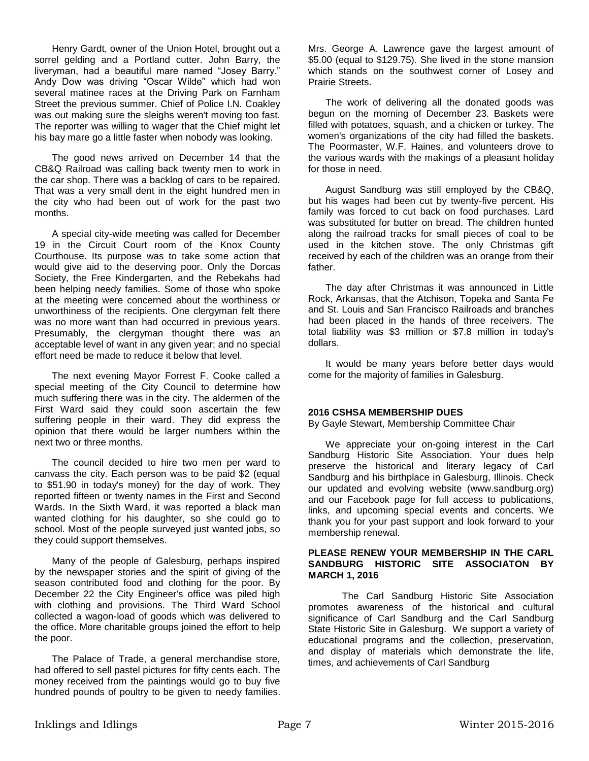Henry Gardt, owner of the Union Hotel, brought out a sorrel gelding and a Portland cutter. John Barry, the liveryman, had a beautiful mare named "Josey Barry." Andy Dow was driving "Oscar Wilde" which had won several matinee races at the Driving Park on Farnham Street the previous summer. Chief of Police I.N. Coakley was out making sure the sleighs weren't moving too fast. The reporter was willing to wager that the Chief might let his bay mare go a little faster when nobody was looking.

The good news arrived on December 14 that the CB&Q Railroad was calling back twenty men to work in the car shop. There was a backlog of cars to be repaired. That was a very small dent in the eight hundred men in the city who had been out of work for the past two months.

A special city-wide meeting was called for December 19 in the Circuit Court room of the Knox County Courthouse. Its purpose was to take some action that would give aid to the deserving poor. Only the Dorcas Society, the Free Kindergarten, and the Rebekahs had been helping needy families. Some of those who spoke at the meeting were concerned about the worthiness or unworthiness of the recipients. One clergyman felt there was no more want than had occurred in previous years. Presumably, the clergyman thought there was an acceptable level of want in any given year; and no special effort need be made to reduce it below that level.

The next evening Mayor Forrest F. Cooke called a special meeting of the City Council to determine how much suffering there was in the city. The aldermen of the First Ward said they could soon ascertain the few suffering people in their ward. They did express the opinion that there would be larger numbers within the next two or three months.

The council decided to hire two men per ward to canvass the city. Each person was to be paid \$2 (equal to \$51.90 in today's money) for the day of work. They reported fifteen or twenty names in the First and Second Wards. In the Sixth Ward, it was reported a black man wanted clothing for his daughter, so she could go to school. Most of the people surveyed just wanted jobs, so they could support themselves.

Many of the people of Galesburg, perhaps inspired by the newspaper stories and the spirit of giving of the season contributed food and clothing for the poor. By December 22 the City Engineer's office was piled high with clothing and provisions. The Third Ward School collected a wagon-load of goods which was delivered to the office. More charitable groups joined the effort to help the poor.

The Palace of Trade, a general merchandise store, had offered to sell pastel pictures for fifty cents each. The money received from the paintings would go to buy five hundred pounds of poultry to be given to needy families. Mrs. George A. Lawrence gave the largest amount of \$5.00 (equal to \$129.75). She lived in the stone mansion which stands on the southwest corner of Losey and Prairie Streets.

The work of delivering all the donated goods was begun on the morning of December 23. Baskets were filled with potatoes, squash, and a chicken or turkey. The women's organizations of the city had filled the baskets. The Poormaster, W.F. Haines, and volunteers drove to the various wards with the makings of a pleasant holiday for those in need.

August Sandburg was still employed by the CB&Q, but his wages had been cut by twenty-five percent. His family was forced to cut back on food purchases. Lard was substituted for butter on bread. The children hunted along the railroad tracks for small pieces of coal to be used in the kitchen stove. The only Christmas gift received by each of the children was an orange from their father.

The day after Christmas it was announced in Little Rock, Arkansas, that the Atchison, Topeka and Santa Fe and St. Louis and San Francisco Railroads and branches had been placed in the hands of three receivers. The total liability was \$3 million or \$7.8 million in today's dollars.

It would be many years before better days would come for the majority of families in Galesburg.

### **2016 CSHSA MEMBERSHIP DUES**

By Gayle Stewart, Membership Committee Chair

We appreciate your on-going interest in the Carl Sandburg Historic Site Association. Your dues help preserve the historical and literary legacy of Carl Sandburg and his birthplace in Galesburg, Illinois. Check our updated and evolving website (www.sandburg.org) and our Facebook page for full access to publications, links, and upcoming special events and concerts. We thank you for your past support and look forward to your membership renewal.

## **PLEASE RENEW YOUR MEMBERSHIP IN THE CARL SANDBURG HISTORIC SITE ASSOCIATON BY MARCH 1, 2016**

The Carl Sandburg Historic Site Association promotes awareness of the historical and cultural significance of Carl Sandburg and the Carl Sandburg State Historic Site in Galesburg. We support a variety of educational programs and the collection, preservation, and display of materials which demonstrate the life, times, and achievements of Carl Sandburg